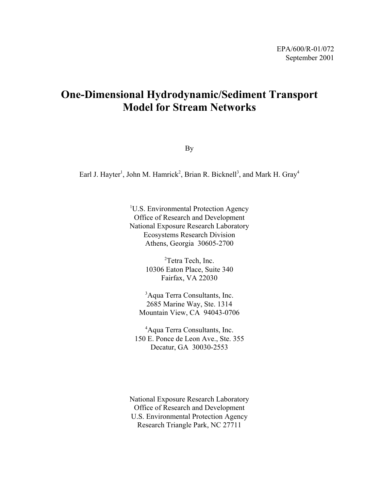# **One-Dimensional Hydrodynamic/Sediment Transport Model for Stream Networks**

By

Earl J. Hayter<sup>1</sup>, John M. Hamrick<sup>2</sup>, Brian R. Bicknell<sup>3</sup>, and Mark H. Gray<sup>4</sup>

<sup>1</sup>U.S. Environmental Protection Agency Office of Research and Development National Exposure Research Laboratory Ecosystems Research Division Athens, Georgia 30605-2700

> <sup>2</sup>Tetra Tech, Inc. 10306 Eaton Place, Suite 340 Fairfax, VA 22030

<sup>3</sup>Aqua Terra Consultants, Inc. 2685 Marine Way, Ste. 1314 Mountain View, CA 94043-0706

4 Aqua Terra Consultants, Inc. 150 E. Ponce de Leon Ave., Ste. 355 Decatur, GA 30030-2553

National Exposure Research Laboratory Office of Research and Development U.S. Environmental Protection Agency Research Triangle Park, NC 27711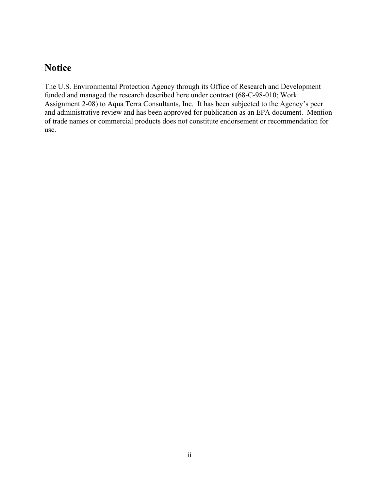# **Notice**

The U.S. Environmental Protection Agency through its Office of Research and Development funded and managed the research described here under contract (68-C-98-010; Work Assignment 2-08) to Aqua Terra Consultants, Inc. It has been subjected to the Agency's peer and administrative review and has been approved for publication as an EPA document. Mention of trade names or commercial products does not constitute endorsement or recommendation for use.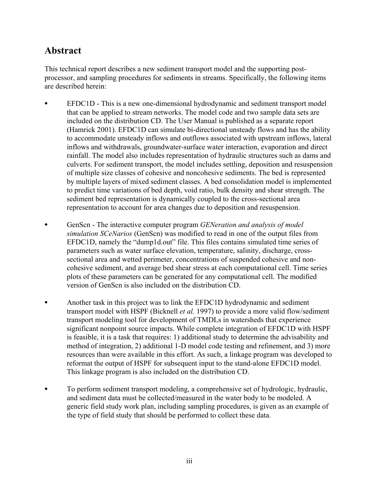# **Abstract**

This technical report describes a new sediment transport model and the supporting postprocessor, and sampling procedures for sediments in streams. Specifically, the following items are described herein:

- EFDC1D This is a new one-dimensional hydrodynamic and sediment transport model that can be applied to stream networks. The model code and two sample data sets are included on the distribution CD. The User Manual is published as a separate report (Hamrick 2001). EFDC1D can simulate bi-directional unsteady flows and has the ability to accommodate unsteady inflows and outflows associated with upstream inflows, lateral inflows and withdrawals, groundwater-surface water interaction, evaporation and direct rainfall. The model also includes representation of hydraulic structures such as dams and culverts. For sediment transport, the model includes settling, deposition and resuspension of multiple size classes of cohesive and noncohesive sediments. The bed is represented by multiple layers of mixed sediment classes. A bed consolidation model is implemented to predict time variations of bed depth, void ratio, bulk density and shear strength. The sediment bed representation is dynamically coupled to the cross-sectional area representation to account for area changes due to deposition and resuspension.
- GenScn The interactive computer program *GENeration and analysis of model simulation SCeNarios* (GenScn) was modified to read in one of the output files from EFDC1D, namely the "dump1d.out" file. This files contains simulated time series of parameters such as water surface elevation, temperature, salinity, discharge, crosssectional area and wetted perimeter, concentrations of suspended cohesive and noncohesive sediment, and average bed shear stress at each computational cell. Time series plots of these parameters can be generated for any computational cell. The modified version of GenScn is also included on the distribution CD.
- Another task in this project was to link the EFDC1D hydrodynamic and sediment transport model with HSPF (Bicknell *et al.* 1997) to provide a more valid flow/sediment transport modeling tool for development of TMDLs in watersheds that experience significant nonpoint source impacts. While complete integration of EFDC1D with HSPF is feasible, it is a task that requires: 1) additional study to determine the advisability and method of integration, 2) additional 1-D model code testing and refinement, and 3) more resources than were available in this effort. As such, a linkage program was developed to reformat the output of HSPF for subsequent input to the stand-alone EFDC1D model. This linkage program is also included on the distribution CD.
- To perform sediment transport modeling, a comprehensive set of hydrologic, hydraulic, and sediment data must be collected/measured in the water body to be modeled. A generic field study work plan, including sampling procedures, is given as an example of the type of field study that should be performed to collect these data.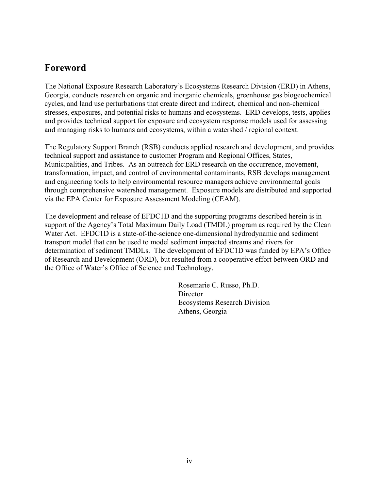# **Foreword**

The National Exposure Research Laboratory's Ecosystems Research Division (ERD) in Athens, Georgia, conducts research on organic and inorganic chemicals, greenhouse gas biogeochemical cycles, and land use perturbations that create direct and indirect, chemical and non-chemical stresses, exposures, and potential risks to humans and ecosystems. ERD develops, tests, applies and provides technical support for exposure and ecosystem response models used for assessing and managing risks to humans and ecosystems, within a watershed / regional context.

The Regulatory Support Branch (RSB) conducts applied research and development, and provides technical support and assistance to customer Program and Regional Offices, States, Municipalities, and Tribes. As an outreach for ERD research on the occurrence, movement, transformation, impact, and control of environmental contaminants, RSB develops management and engineering tools to help environmental resource managers achieve environmental goals through comprehensive watershed management. Exposure models are distributed and supported via the EPA Center for Exposure Assessment Modeling (CEAM).

The development and release of EFDC1D and the supporting programs described herein is in support of the Agency's Total Maximum Daily Load (TMDL) program as required by the Clean Water Act. EFDC1D is a state-of-the-science one-dimensional hydrodynamic and sediment transport model that can be used to model sediment impacted streams and rivers for determination of sediment TMDLs. The development of EFDC1D was funded by EPA's Office of Research and Development (ORD), but resulted from a cooperative effort between ORD and the Office of Water's Office of Science and Technology.

> Rosemarie C. Russo, Ph.D. **Director** Ecosystems Research Division Athens, Georgia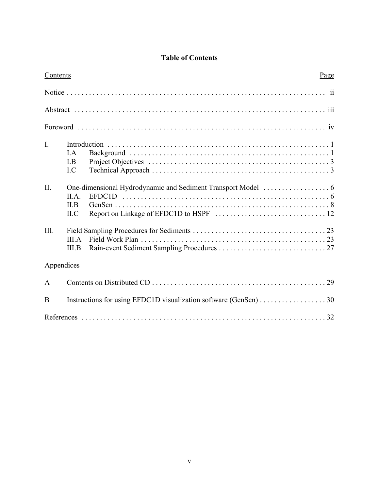# **Table of Contents**

| Contents       | Page                                                             |  |  |  |  |  |
|----------------|------------------------------------------------------------------|--|--|--|--|--|
|                |                                                                  |  |  |  |  |  |
|                |                                                                  |  |  |  |  |  |
|                |                                                                  |  |  |  |  |  |
| $\mathbf{I}$ . | LA.<br>I.B<br>I.C                                                |  |  |  |  |  |
| II.            | II.A.<br>II.B<br>ILC                                             |  |  |  |  |  |
| III.           | III.A<br>III.B                                                   |  |  |  |  |  |
| Appendices     |                                                                  |  |  |  |  |  |
| A              |                                                                  |  |  |  |  |  |
| B              | Instructions for using EFDC1D visualization software (GenScn) 30 |  |  |  |  |  |
|                |                                                                  |  |  |  |  |  |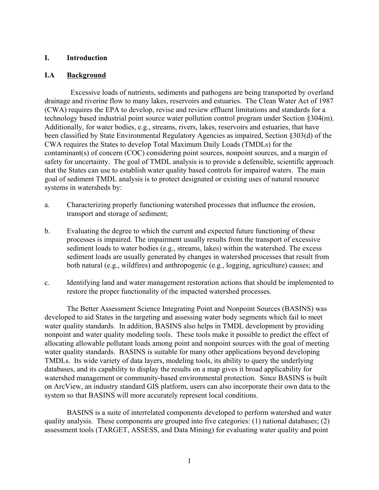### **I. Introduction**

### **I.A Background**

 Excessive loads of nutrients, sediments and pathogens are being transported by overland drainage and riverine flow to many lakes, reservoirs and estuaries. The Clean Water Act of 1987 (CWA) requires the EPA to develop, revise and review effluent limitations and standards for a technology based industrial point source water pollution control program under Section §304(m). Additionally, for water bodies, e.g., streams, rivers, lakes, reservoirs and estuaries, that have been classified by State Environmental Regulatory Agencies as impaired, Section §303(d) of the CWA requires the States to develop Total Maximum Daily Loads (TMDLs) for the contaminant(s) of concern (COC) considering point sources, nonpoint sources, and a margin of safety for uncertainty. The goal of TMDL analysis is to provide a defensible, scientific approach that the States can use to establish water quality based controls for impaired waters. The main goal of sediment TMDL analysis is to protect designated or existing uses of natural resource systems in watersheds by:

- a. Characterizing properly functioning watershed processes that influence the erosion, transport and storage of sediment;
- b. Evaluating the degree to which the current and expected future functioning of these processes is impaired. The impairment usually results from the transport of excessive sediment loads to water bodies (e.g., streams, lakes) within the watershed. The excess sediment loads are usually generated by changes in watershed processes that result from both natural (e.g., wildfires) and anthropogenic (e.g., logging, agriculture) causes; and
- c. Identifying land and water management restoration actions that should be implemented to restore the proper functionality of the impacted watershed processes.

The Better Assessment Science Integrating Point and Nonpoint Sources (BASINS) was developed to aid States in the targeting and assessing water body segments which fail to meet water quality standards. In addition, BASINS also helps in TMDL development by providing nonpoint and water quality modeling tools. These tools make it possible to predict the effect of allocating allowable pollutant loads among point and nonpoint sources with the goal of meeting water quality standards. BASINS is suitable for many other applications beyond developing TMDLs. Its wide variety of data layers, modeling tools, its ability to query the underlying databases, and its capability to display the results on a map gives it broad applicability for watershed management or community-based environmental protection. Since BASINS is built on ArcView, an industry standard GIS platform, users can also incorporate their own data to the system so that BASINS will more accurately represent local conditions.

BASINS is a suite of interrelated components developed to perform watershed and water quality analysis. These components are grouped into five categories: (1) national databases; (2) assessment tools (TARGET, ASSESS, and Data Mining) for evaluating water quality and point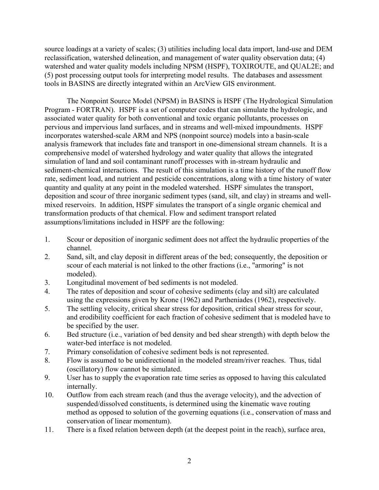source loadings at a variety of scales; (3) utilities including local data import, land-use and DEM reclassification, watershed delineation, and management of water quality observation data; (4) watershed and water quality models including NPSM (HSPF), TOXIROUTE, and QUAL2E; and (5) post processing output tools for interpreting model results. The databases and assessment tools in BASINS are directly integrated within an ArcView GIS environment.

The Nonpoint Source Model (NPSM) in BASINS is HSPF (The Hydrological Simulation Program - FORTRAN). HSPF is a set of computer codes that can simulate the hydrologic, and associated water quality for both conventional and toxic organic pollutants, processes on pervious and impervious land surfaces, and in streams and well-mixed impoundments. HSPF incorporates watershed-scale ARM and NPS (nonpoint source) models into a basin-scale analysis framework that includes fate and transport in one-dimensional stream channels. It is a comprehensive model of watershed hydrology and water quality that allows the integrated simulation of land and soil contaminant runoff processes with in-stream hydraulic and sediment-chemical interactions. The result of this simulation is a time history of the runoff flow rate, sediment load, and nutrient and pesticide concentrations, along with a time history of water quantity and quality at any point in the modeled watershed. HSPF simulates the transport, deposition and scour of three inorganic sediment types (sand, silt, and clay) in streams and wellmixed reservoirs. In addition, HSPF simulates the transport of a single organic chemical and transformation products of that chemical. Flow and sediment transport related assumptions/limitations included in HSPF are the following:

- 1. Scour or deposition of inorganic sediment does not affect the hydraulic properties of the channel.
- 2. Sand, silt, and clay deposit in different areas of the bed; consequently, the deposition or scour of each material is not linked to the other fractions (i.e., "armoring" is not modeled).
- 3. Longitudinal movement of bed sediments is not modeled.
- 4. The rates of deposition and scour of cohesive sediments (clay and silt) are calculated using the expressions given by Krone (1962) and Partheniades (1962), respectively.
- 5. The settling velocity, critical shear stress for deposition, critical shear stress for scour, and erodibility coefficient for each fraction of cohesive sediment that is modeled have to be specified by the user.
- 6. Bed structure (i.e., variation of bed density and bed shear strength) with depth below the water-bed interface is not modeled.
- 7. Primary consolidation of cohesive sediment beds is not represented.
- 8. Flow is assumed to be unidirectional in the modeled stream/river reaches. Thus, tidal (oscillatory) flow cannot be simulated.
- 9. User has to supply the evaporation rate time series as opposed to having this calculated internally.
- 10. Outflow from each stream reach (and thus the average velocity), and the advection of suspended/dissolved constituents, is determined using the kinematic wave routing method as opposed to solution of the governing equations (i.e., conservation of mass and conservation of linear momentum).
- 11. There is a fixed relation between depth (at the deepest point in the reach), surface area,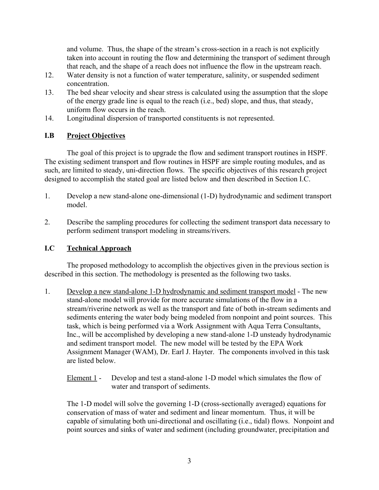and volume. Thus, the shape of the stream's cross-section in a reach is not explicitly taken into account in routing the flow and determining the transport of sediment through that reach, and the shape of a reach does not influence the flow in the upstream reach.

- 12. Water density is not a function of water temperature, salinity, or suspended sediment concentration.
- 13. The bed shear velocity and shear stress is calculated using the assumption that the slope of the energy grade line is equal to the reach (i.e., bed) slope, and thus, that steady, uniform flow occurs in the reach.
- 14. Longitudinal dispersion of transported constituents is not represented.

## **I.B Project Objectives**

The goal of this project is to upgrade the flow and sediment transport routines in HSPF. The existing sediment transport and flow routines in HSPF are simple routing modules, and as such, are limited to steady, uni-direction flows. The specific objectives of this research project designed to accomplish the stated goal are listed below and then described in Section I.C.

- 1. Develop a new stand-alone one-dimensional (1-D) hydrodynamic and sediment transport model.
- 2. Describe the sampling procedures for collecting the sediment transport data necessary to perform sediment transport modeling in streams/rivers.

# **I.C Technical Approach**

The proposed methodology to accomplish the objectives given in the previous section is described in this section. The methodology is presented as the following two tasks.

- 1. Develop a new stand-alone 1-D hydrodynamic and sediment transport model The new stand-alone model will provide for more accurate simulations of the flow in a stream/riverine network as well as the transport and fate of both in-stream sediments and sediments entering the water body being modeled from nonpoint and point sources. This task, which is being performed via a Work Assignment with Aqua Terra Consultants, Inc., will be accomplished by developing a new stand-alone 1-D unsteady hydrodynamic and sediment transport model. The new model will be tested by the EPA Work Assignment Manager (WAM), Dr. Earl J. Hayter. The components involved in this task are listed below.
	- Element 1 Develop and test a stand-alone 1-D model which simulates the flow of water and transport of sediments.

The 1-D model will solve the governing 1-D (cross-sectionally averaged) equations for conservation of mass of water and sediment and linear momentum. Thus, it will be capable of simulating both uni-directional and oscillating (i.e., tidal) flows. Nonpoint and point sources and sinks of water and sediment (including groundwater, precipitation and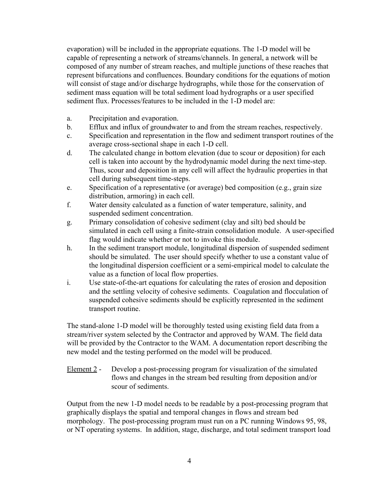evaporation) will be included in the appropriate equations. The 1-D model will be capable of representing a network of streams/channels. In general, a network will be composed of any number of stream reaches, and multiple junctions of these reaches that represent bifurcations and confluences. Boundary conditions for the equations of motion will consist of stage and/or discharge hydrographs, while those for the conservation of sediment mass equation will be total sediment load hydrographs or a user specified sediment flux. Processes/features to be included in the 1-D model are:

- a. Precipitation and evaporation.
- b. Efflux and influx of groundwater to and from the stream reaches, respectively.
- c. Specification and representation in the flow and sediment transport routines of the average cross-sectional shape in each 1-D cell.
- d. The calculated change in bottom elevation (due to scour or deposition) for each cell is taken into account by the hydrodynamic model during the next time-step. Thus, scour and deposition in any cell will affect the hydraulic properties in that cell during subsequent time-steps.
- e. Specification of a representative (or average) bed composition (e.g., grain size distribution, armoring) in each cell.
- f. Water density calculated as a function of water temperature, salinity, and suspended sediment concentration.
- g. Primary consolidation of cohesive sediment (clay and silt) bed should be simulated in each cell using a finite-strain consolidation module. A user-specified flag would indicate whether or not to invoke this module.
- h. In the sediment transport module, longitudinal dispersion of suspended sediment should be simulated. The user should specify whether to use a constant value of the longitudinal dispersion coefficient or a semi-empirical model to calculate the value as a function of local flow properties.
- i. Use state-of-the-art equations for calculating the rates of erosion and deposition and the settling velocity of cohesive sediments. Coagulation and flocculation of suspended cohesive sediments should be explicitly represented in the sediment transport routine.

The stand-alone 1-D model will be thoroughly tested using existing field data from a stream/river system selected by the Contractor and approved by WAM. The field data will be provided by the Contractor to the WAM. A documentation report describing the new model and the testing performed on the model will be produced.

Element 2 - Develop a post-processing program for visualization of the simulated flows and changes in the stream bed resulting from deposition and/or scour of sediments.

Output from the new 1-D model needs to be readable by a post-processing program that graphically displays the spatial and temporal changes in flows and stream bed morphology. The post-processing program must run on a PC running Windows 95, 98, or NT operating systems. In addition, stage, discharge, and total sediment transport load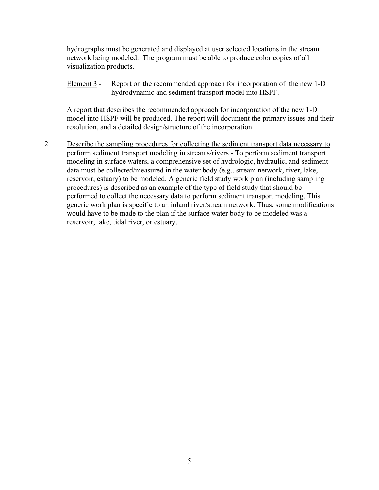hydrographs must be generated and displayed at user selected locations in the stream network being modeled. The program must be able to produce color copies of all visualization products.

Element 3 - Report on the recommended approach for incorporation of the new 1-D hydrodynamic and sediment transport model into HSPF.

A report that describes the recommended approach for incorporation of the new 1-D model into HSPF will be produced. The report will document the primary issues and their resolution, and a detailed design/structure of the incorporation.

2. Describe the sampling procedures for collecting the sediment transport data necessary to perform sediment transport modeling in streams/rivers - To perform sediment transport modeling in surface waters, a comprehensive set of hydrologic, hydraulic, and sediment data must be collected/measured in the water body (e.g., stream network, river, lake, reservoir, estuary) to be modeled. A generic field study work plan (including sampling procedures) is described as an example of the type of field study that should be performed to collect the necessary data to perform sediment transport modeling. This generic work plan is specific to an inland river/stream network. Thus, some modifications would have to be made to the plan if the surface water body to be modeled was a reservoir, lake, tidal river, or estuary.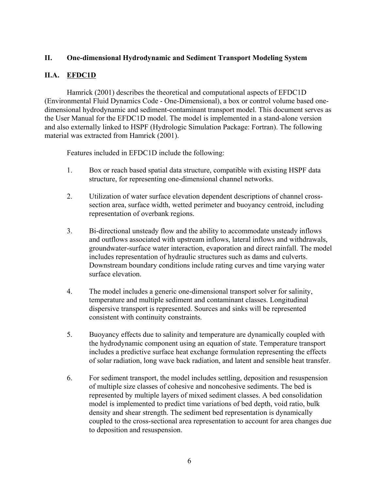## **II. One-dimensional Hydrodynamic and Sediment Transport Modeling System**

## **II.A. EFDC1D**

Hamrick (2001) describes the theoretical and computational aspects of EFDC1D (Environmental Fluid Dynamics Code - One-Dimensional), a box or control volume based onedimensional hydrodynamic and sediment-contaminant transport model. This document serves as the User Manual for the EFDC1D model. The model is implemented in a stand-alone version and also externally linked to HSPF (Hydrologic Simulation Package: Fortran). The following material was extracted from Hamrick (2001).

Features included in EFDC1D include the following:

- 1. Box or reach based spatial data structure, compatible with existing HSPF data structure, for representing one-dimensional channel networks.
- 2. Utilization of water surface elevation dependent descriptions of channel crosssection area, surface width, wetted perimeter and buoyancy centroid, including representation of overbank regions.
- 3. Bi-directional unsteady flow and the ability to accommodate unsteady inflows and outflows associated with upstream inflows, lateral inflows and withdrawals, groundwater-surface water interaction, evaporation and direct rainfall. The model includes representation of hydraulic structures such as dams and culverts. Downstream boundary conditions include rating curves and time varying water surface elevation.
- 4. The model includes a generic one-dimensional transport solver for salinity, temperature and multiple sediment and contaminant classes. Longitudinal dispersive transport is represented. Sources and sinks will be represented consistent with continuity constraints.
- 5. Buoyancy effects due to salinity and temperature are dynamically coupled with the hydrodynamic component using an equation of state. Temperature transport includes a predictive surface heat exchange formulation representing the effects of solar radiation, long wave back radiation, and latent and sensible heat transfer.
- 6. For sediment transport, the model includes settling, deposition and resuspension of multiple size classes of cohesive and noncohesive sediments. The bed is represented by multiple layers of mixed sediment classes. A bed consolidation model is implemented to predict time variations of bed depth, void ratio, bulk density and shear strength. The sediment bed representation is dynamically coupled to the cross-sectional area representation to account for area changes due to deposition and resuspension.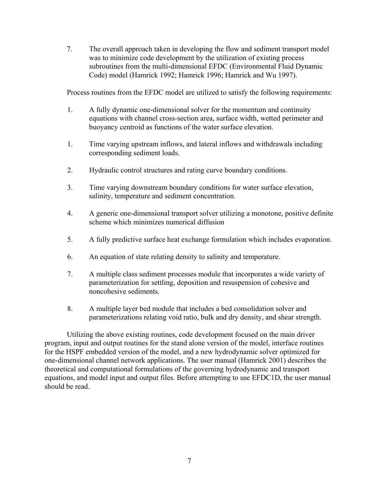7. The overall approach taken in developing the flow and sediment transport model was to minimize code development by the utilization of existing process subroutines from the multi-dimensional EFDC (Environmental Fluid Dynamic Code) model (Hamrick 1992; Hamrick 1996; Hamrick and Wu 1997).

Process routines from the EFDC model are utilized to satisfy the following requirements:

- 1. A fully dynamic one-dimensional solver for the momentum and continuity equations with channel cross-section area, surface width, wetted perimeter and buoyancy centroid as functions of the water surface elevation.
- 1. Time varying upstream inflows, and lateral inflows and withdrawals including corresponding sediment loads.
- 2. Hydraulic control structures and rating curve boundary conditions.
- 3. Time varying downstream boundary conditions for water surface elevation, salinity, temperature and sediment concentration.
- 4. A generic one-dimensional transport solver utilizing a monotone, positive definite scheme which minimizes numerical diffusion
- 5. A fully predictive surface heat exchange formulation which includes evaporation.
- 6. An equation of state relating density to salinity and temperature.
- 7. A multiple class sediment processes module that incorporates a wide variety of parameterization for settling, deposition and resuspension of cohesive and noncohesive sediments.
- 8. A multiple layer bed module that includes a bed consolidation solver and parameterizations relating void ratio, bulk and dry density, and shear strength.

Utilizing the above existing routines, code development focused on the main driver program, input and output routines for the stand alone version of the model, interface routines for the HSPF embedded version of the model, and a new hydrodynamic solver optimized for one-dimensional channel network applications. The user manual (Hamrick 2001) describes the theoretical and computational formulations of the governing hydrodynamic and transport equations, and model input and output files. Before attempting to use EFDC1D, the user manual should be read.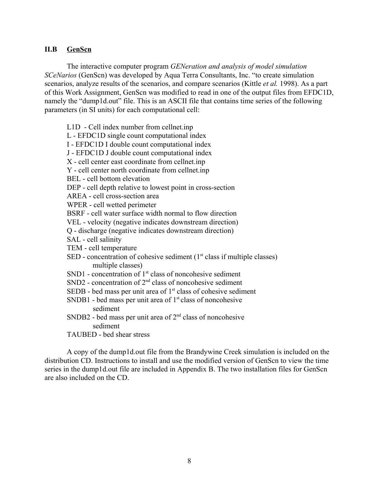#### **II.B GenScn**

The interactive computer program *GENeration and analysis of model simulation SCeNarios* (GenScn) was developed by Aqua Terra Consultants, Inc. "to create simulation scenarios, analyze results of the scenarios, and compare scenarios (Kittle *et al.* 1998). As a part of this Work Assignment, GenScn was modified to read in one of the output files from EFDC1D, namely the "dump1d.out" file. This is an ASCII file that contains time series of the following parameters (in SI units) for each computational cell:

L1D - Cell index number from cellnet.inp L - EFDC1D single count computational index I - EFDC1D I double count computational index J - EFDC1D J double count computational index X - cell center east coordinate from cellnet.inp Y - cell center north coordinate from cellnet.inp BEL - cell bottom elevation DEP - cell depth relative to lowest point in cross-section AREA - cell cross-section area WPER - cell wetted perimeter BSRF - cell water surface width normal to flow direction VEL - velocity (negative indicates downstream direction) Q - discharge (negative indicates downstream direction) SAL - cell salinity TEM - cell temperature SED - concentration of cohesive sediment  $(1<sup>st</sup>$  class if multiple classes) multiple classes)  $SND1$  - concentration of  $1<sup>st</sup>$  class of noncohesive sediment SND2 - concentration of  $2<sup>nd</sup>$  class of noncohesive sediment SEDB - bed mass per unit area of  $1<sup>st</sup>$  class of cohesive sediment SNDB1 - bed mass per unit area of  $1<sup>st</sup>$  class of noncohesive sediment SNDB2 - bed mass per unit area of  $2<sup>nd</sup>$  class of noncohesive sediment TAUBED - bed shear stress

A copy of the dump1d.out file from the Brandywine Creek simulation is included on the distribution CD. Instructions to install and use the modified version of GenScn to view the time series in the dump1d.out file are included in Appendix B. The two installation files for GenScn are also included on the CD.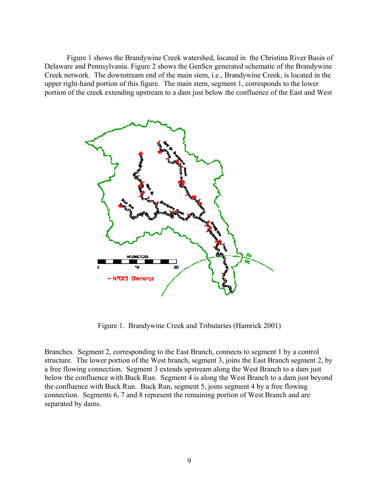Figure 1 shows the Brandywine Creek watershed, located in the Christina River Basin of Delaware and Pennsylvania. Figure 2 shows the GenScn generated schematic of the Brandywine Creek network. The downstream end of the main stem, i.e., Brandywine Creek, is located in the upper right-hand portion of this figure. The main stem, segment 1, corresponds to the lower portion of the creek extending upstream to a dam just below the confluence of the East and West



Figure 1. Brandywine Creek and Tributaries (Hamrick 2001)

Branches. Segment 2, corresponding to the East Branch, connects to segment 1 by a control structure. The lower portion of the West branch, segment 3, joins the East Branch segment 2, by a free flowing connection. Segment 3 extends upstream along the West Branch to a dam just below the confluence with Buck Run. Segment 4 is along the West Branch to a dam just beyond the confluence with Buck Run. Buck Run, segment 5, joins segment 4 by a free flowing connection. Segments 6, 7 and 8 represent the remaining portion of West Branch and are separated by dams.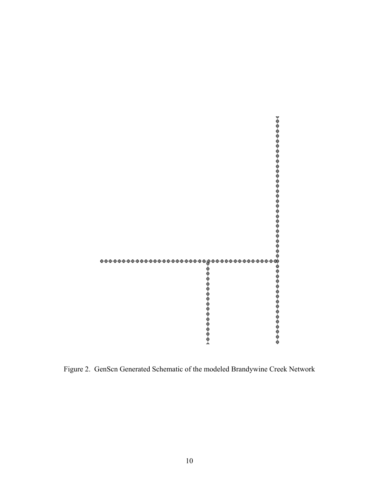

Figure 2. GenScn Generated Schematic of the modeled Brandywine Creek Network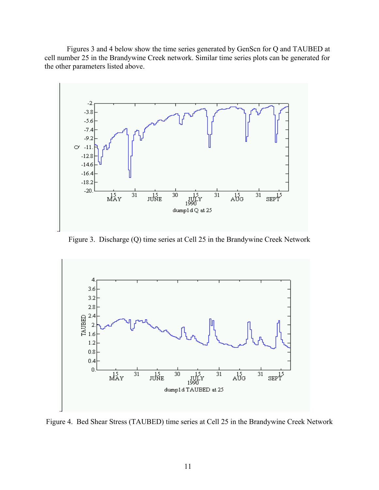Figures 3 and 4 below show the time series generated by GenScn for Q and TAUBED at cell number 25 in the Brandywine Creek network. Similar time series plots can be generated for the other parameters listed above.



Figure 3. Discharge (Q) time series at Cell 25 in the Brandywine Creek Network



Figure 4. Bed Shear Stress (TAUBED) time series at Cell 25 in the Brandywine Creek Network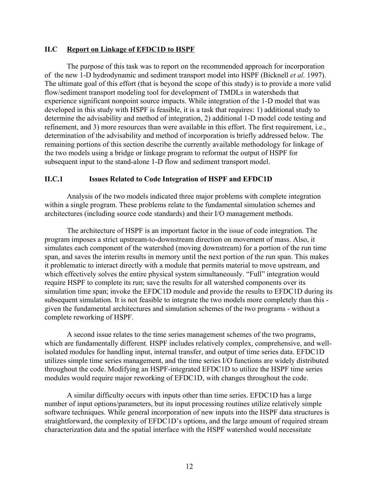#### **II.C Report on Linkage of EFDC1D to HSPF**

The purpose of this task was to report on the recommended approach for incorporation of the new 1-D hydrodynamic and sediment transport model into HSPF (Bicknell *et al.* 1997). The ultimate goal of this effort (that is beyond the scope of this study) is to provide a more valid flow/sediment transport modeling tool for development of TMDLs in watersheds that experience significant nonpoint source impacts. While integration of the 1-D model that was developed in this study with HSPF is feasible, it is a task that requires: 1) additional study to determine the advisability and method of integration, 2) additional 1-D model code testing and refinement, and 3) more resources than were available in this effort. The first requirement, i.e., determination of the advisability and method of incorporation is briefly addressed below. The remaining portions of this section describe the currently available methodology for linkage of the two models using a bridge or linkage program to reformat the output of HSPF for subsequent input to the stand-alone 1-D flow and sediment transport model.

#### **II.C.1 Issues Related to Code Integration of HSPF and EFDC1D**

Analysis of the two models indicated three major problems with complete integration within a single program. These problems relate to the fundamental simulation schemes and architectures (including source code standards) and their I/O management methods.

The architecture of HSPF is an important factor in the issue of code integration. The program imposes a strict upstream-to-downstream direction on movement of mass. Also, it simulates each component of the watershed (moving downstream) for a portion of the run time span, and saves the interim results in memory until the next portion of the run span. This makes it problematic to interact directly with a module that permits material to move upstream, and which effectively solves the entire physical system simultaneously. "Full" integration would require HSPF to complete its run; save the results for all watershed components over its simulation time span; invoke the EFDC1D module and provide the results to EFDC1D during its subsequent simulation. It is not feasible to integrate the two models more completely than this given the fundamental architectures and simulation schemes of the two programs - without a complete reworking of HSPF.

A second issue relates to the time series management schemes of the two programs, which are fundamentally different. HSPF includes relatively complex, comprehensive, and wellisolated modules for handling input, internal transfer, and output of time series data. EFDC1D utilizes simple time series management, and the time series I/O functions are widely distributed throughout the code. Modifying an HSPF-integrated EFDC1D to utilize the HSPF time series modules would require major reworking of EFDC1D, with changes throughout the code.

A similar difficulty occurs with inputs other than time series. EFDC1D has a large number of input options/parameters, but its input processing routines utilize relatively simple software techniques. While general incorporation of new inputs into the HSPF data structures is straightforward, the complexity of EFDC1D's options, and the large amount of required stream characterization data and the spatial interface with the HSPF watershed would necessitate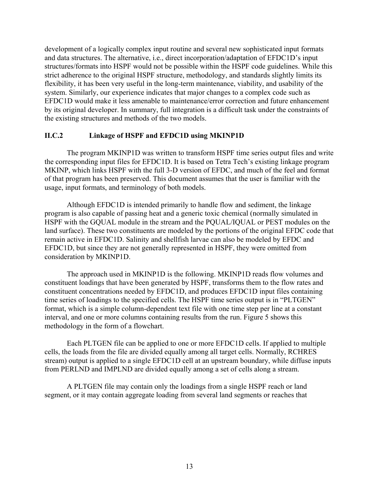development of a logically complex input routine and several new sophisticated input formats and data structures. The alternative, i.e., direct incorporation/adaptation of EFDC1D's input structures/formats into HSPF would not be possible within the HSPF code guidelines. While this strict adherence to the original HSPF structure, methodology, and standards slightly limits its flexibility, it has been very useful in the long-term maintenance, viability, and usability of the system. Similarly, our experience indicates that major changes to a complex code such as EFDC1D would make it less amenable to maintenance/error correction and future enhancement by its original developer. In summary, full integration is a difficult task under the constraints of the existing structures and methods of the two models.

#### **II.C.2 Linkage of HSPF and EFDC1D using MKINP1D**

The program MKINP1D was written to transform HSPF time series output files and write the corresponding input files for EFDC1D. It is based on Tetra Tech's existing linkage program MKINP, which links HSPF with the full 3-D version of EFDC, and much of the feel and format of that program has been preserved. This document assumes that the user is familiar with the usage, input formats, and terminology of both models.

Although EFDC1D is intended primarily to handle flow and sediment, the linkage program is also capable of passing heat and a generic toxic chemical (normally simulated in HSPF with the GQUAL module in the stream and the PQUAL/IQUAL or PEST modules on the land surface). These two constituents are modeled by the portions of the original EFDC code that remain active in EFDC1D. Salinity and shellfish larvae can also be modeled by EFDC and EFDC1D, but since they are not generally represented in HSPF, they were omitted from consideration by MKINP1D.

The approach used in MKINP1D is the following. MKINP1D reads flow volumes and constituent loadings that have been generated by HSPF, transforms them to the flow rates and constituent concentrations needed by EFDC1D, and produces EFDC1D input files containing time series of loadings to the specified cells. The HSPF time series output is in "PLTGEN" format, which is a simple column-dependent text file with one time step per line at a constant interval, and one or more columns containing results from the run. Figure 5 shows this methodology in the form of a flowchart.

Each PLTGEN file can be applied to one or more EFDC1D cells. If applied to multiple cells, the loads from the file are divided equally among all target cells. Normally, RCHRES stream) output is applied to a single EFDC1D cell at an upstream boundary, while diffuse inputs from PERLND and IMPLND are divided equally among a set of cells along a stream.

A PLTGEN file may contain only the loadings from a single HSPF reach or land segment, or it may contain aggregate loading from several land segments or reaches that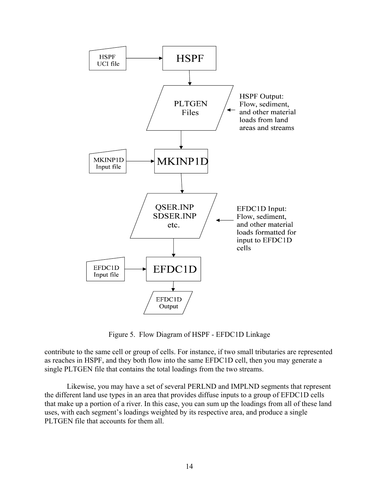

Figure 5. Flow Diagram of HSPF - EFDC1D Linkage

contribute to the same cell or group of cells. For instance, if two small tributaries are represented as reaches in HSPF, and they both flow into the same EFDC1D cell, then you may generate a single PLTGEN file that contains the total loadings from the two streams.

Likewise, you may have a set of several PERLND and IMPLND segments that represent the different land use types in an area that provides diffuse inputs to a group of EFDC1D cells that make up a portion of a river. In this case, you can sum up the loadings from all of these land uses, with each segment's loadings weighted by its respective area, and produce a single PLTGEN file that accounts for them all.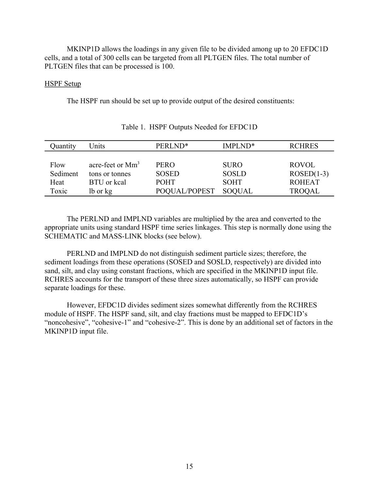MKINP1D allows the loadings in any given file to be divided among up to 20 EFDC1D cells, and a total of 300 cells can be targeted from all PLTGEN files. The total number of PLTGEN files that can be processed is 100.

#### HSPF Setup

The HSPF run should be set up to provide output of the desired constituents:

| Quantity | Units                        | PERLND <sup>*</sup> | IMPLND <sup>*</sup> | <b>RCHRES</b> |
|----------|------------------------------|---------------------|---------------------|---------------|
|          |                              |                     |                     |               |
| Flow     | acre-feet or Mm <sup>3</sup> | <b>PERO</b>         | <b>SURO</b>         | <b>ROVOL</b>  |
| Sediment | tons or tonnes               | <b>SOSED</b>        | <b>SOSLD</b>        | $ROSED(1-3)$  |
| Heat     | BTU or keal                  | <b>POHT</b>         | <b>SOHT</b>         | <b>ROHEAT</b> |
| Toxic    | lb or kg                     | POQUAL/POPEST       | <b>SOQUAL</b>       | <b>TROQAL</b> |

#### Table 1. HSPF Outputs Needed for EFDC1D

The PERLND and IMPLND variables are multiplied by the area and converted to the appropriate units using standard HSPF time series linkages. This step is normally done using the SCHEMATIC and MASS-LINK blocks (see below).

PERLND and IMPLND do not distinguish sediment particle sizes; therefore, the sediment loadings from these operations (SOSED and SOSLD, respectively) are divided into sand, silt, and clay using constant fractions, which are specified in the MKINP1D input file. RCHRES accounts for the transport of these three sizes automatically, so HSPF can provide separate loadings for these.

However, EFDC1D divides sediment sizes somewhat differently from the RCHRES module of HSPF. The HSPF sand, silt, and clay fractions must be mapped to EFDC1D's "noncohesive", "cohesive-1" and "cohesive-2". This is done by an additional set of factors in the MKINP1D input file.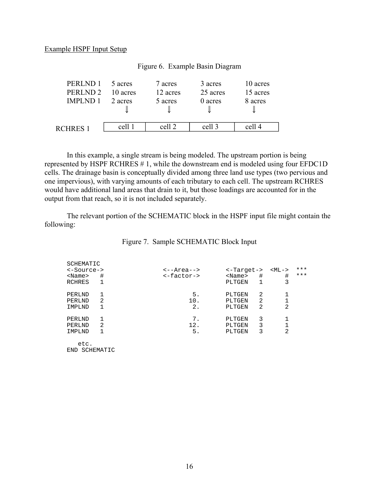#### Example HSPF Input Setup

| PERLND 1            | 5 acres  | 7 acres  | 3 acres  | 10 acres |  |
|---------------------|----------|----------|----------|----------|--|
| PERLND <sub>2</sub> | 10 acres | 12 acres | 25 acres | 15 acres |  |
| <b>IMPLND 1</b>     | 2 acres  | 5 acres  | 0 acres  | 8 acres  |  |
| RCHRES <sub>1</sub> | cell 1   | cell 2   | cell 3   | cell 4   |  |

#### Figure 6. Example Basin Diagram

In this example, a single stream is being modeled. The upstream portion is being represented by HSPF RCHRES # 1, while the downstream end is modeled using four EFDC1D cells. The drainage basin is conceptually divided among three land use types (two pervious and one impervious), with varying amounts of each tributary to each cell. The upstream RCHRES would have additional land areas that drain to it, but those loadings are accounted for in the output from that reach, so it is not included separately.

The relevant portion of the SCHEMATIC block in the HSPF input file might contain the following:

| SCHEMATIC                |                |                       |              |   |    |       |
|--------------------------|----------------|-----------------------|--------------|---|----|-------|
| $\leq$ -Source->         |                | $\leftarrow$ -Area--> | <-Target->   |   | $$ | $***$ |
| $<$ Name $>$             | #              | $\leftarrow$ factor-> | $<$ Name $>$ | # | #  | $***$ |
| <b>RCHRES</b>            | 1              |                       | PLTGEN       |   | 3  |       |
| PERLND                   | 1              | 5.                    | PLTGEN       | 2 |    |       |
| PERLND                   | 2              | 10.                   | PLTGEN       | 2 |    |       |
| IMPLND                   | 1              | 2.                    | PLTGEN       | 2 | 2  |       |
| PERLND                   | 1              | 7.                    | PLTGEN       | 3 |    |       |
| PERLND                   | $\overline{2}$ | 12.                   | PLTGEN       | 3 |    |       |
| IMPLND                   | 1              | 5.                    | PLTGEN       | 3 | 2  |       |
| etc.<br>SCHEMATIC<br>END |                |                       |              |   |    |       |

#### Figure 7. Sample SCHEMATIC Block Input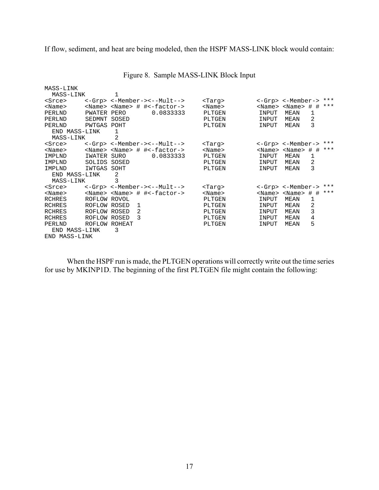If flow, sediment, and heat are being modeled, then the HSPF MASS-LINK block would contain:

| MASS-LINK     |              |        |   |                                                 |               |              |                                     |       |       |
|---------------|--------------|--------|---|-------------------------------------------------|---------------|--------------|-------------------------------------|-------|-------|
| MASS-LINK     |              |        |   |                                                 |               |              |                                     |       |       |
| <srce></srce> |              |        |   | <-Grp> <-Member-><--Mult-->                     | <targ></targ> |              | <-Grp> <-Member->                   |       | ***   |
| $<$ Name $>$  |              |        |   | <name> <name> # #&lt;-factor-&gt;</name></name> | $<$ Name $>$  | $<$ Name $>$ | $$\times$ Name> # #                 |       | $***$ |
| PERLND        | PWATER PERO  |        |   | 0.0833333                                       | PLTGEN        | INPUT        | <b>MEAN</b>                         | 1     |       |
| PERLND        | SEDMNT       | SOSED  |   |                                                 | PLTGEN        | INPUT        | MEAN                                | 2     |       |
| PERLND        | PWTGAS POHT  |        |   |                                                 | PLTGEN        | INPUT        | MEAN                                | 3     |       |
| END MASS-LINK |              | 1      |   |                                                 |               |              |                                     |       |       |
| MASS-LINK     |              | 2      |   |                                                 |               |              |                                     |       |       |
| <srce></srce> |              |        |   | <-Grp> <-Member-><--Mult-->                     | <tarq></tarq> |              | <-Grp> <-Member->                   |       | $***$ |
| $<$ Name $>$  |              |        |   | <name> <name> # #&lt;-factor-&gt;</name></name> | $<$ Name $>$  |              | $\langle$ Name> $\langle$ Name> # # |       | $***$ |
| IMPLND        | IWATER SURO  |        |   | 0.0833333                                       | PLTGEN        | INPUT        | MEAN                                | 1     |       |
| IMPLND        | SOLIDS       | SOSED  |   |                                                 | PLTGEN        | INPUT        | MEAN                                | 2     |       |
| IMPLND        | IWTGAS       | SOHT   |   |                                                 | PLTGEN        | INPUT        | MEAN                                | 3     |       |
| END MASS-LINK |              | 2      |   |                                                 |               |              |                                     |       |       |
| MASS-LINK     |              | 3      |   |                                                 |               |              |                                     |       |       |
| <srce></srce> |              |        |   | <-Grp> <-Member-><--Mult-->                     | <targ></targ> |              | <-Grp> <-Member->                   |       | $***$ |
| $<$ Name $>$  |              |        |   | <name> <name> # #&lt;-factor-&gt;</name></name> | $<$ Name $>$  | $<$ Name $>$ | <name></name>                       | $#$ # | $***$ |
| RCHRES        | ROFLOW ROVOL |        |   |                                                 | PLTGEN        | INPUT        | MEAN                                | 1     |       |
| RCHRES        | ROFLOW ROSED |        | 1 |                                                 | PLTGEN        | INPUT        | MEAN                                | 2     |       |
| RCHRES        | ROFLOW ROSED |        | 2 |                                                 | PLTGEN        | INPUT        | MEAN                                | 3     |       |
| <b>RCHRES</b> | ROFLOW ROSED |        | 3 |                                                 | PLTGEN        | INPUT        | MEAN                                | 4     |       |
| PERLND        | ROFLOW       | ROHEAT |   |                                                 | PLTGEN        | INPUT        | MEAN                                | 5     |       |
| END MASS-LINK |              | 3      |   |                                                 |               |              |                                     |       |       |
| END MASS-LINK |              |        |   |                                                 |               |              |                                     |       |       |

## Figure 8. Sample MASS-LINK Block Input

When the HSPF run is made, the PLTGEN operations will correctly write out the time series for use by MKINP1D. The beginning of the first PLTGEN file might contain the following: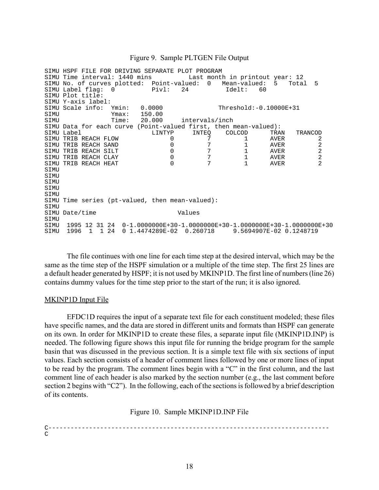#### Figure 9. Sample PLTGEN File Output

SIMU HSPF FILE FOR DRIVING SEPARATE PLOT PROGRAM SIMU Time interval: 1440 mins Last month in printout year: 12 SIMU No. of curves plotted: Point-valued: 0 Mean-valued: 5 Total 5 SIMU Label flag: 0 Pivl: 24 Idelt: 60 SIMU Plot title: SIMU Y-axis label: SIMU Scale info: Ymin: 0.0000 Threshold:-0.10000E+31<br>SIMU Ymax: 150.00 SIMU Ymax: 150.00 SIMU Time: 20.000 intervals/inch SIMU Data for each curve (Point-valued first, then mean-valued): SIMU Label LINTYP INTEQ COLCOD TRAN TRANCOD  $\begin{array}{cccccccc} \texttt{SIMU} & \texttt{TRIB} & \texttt{REACH} & \texttt{Flow} & & & & & & & & & & & & & \\ \texttt{SIMU} & \texttt{TRIB} & \texttt{REACH} & \texttt{SAND} & & & & & & & & & & & & & & \\ \texttt{SIMU} & \texttt{TRIB} & \texttt{REACH} & \texttt{SLIT} & & & & & & & & & & & & & & & \\ \texttt{SIMU} & \texttt{TRIB} & \texttt{REACH} & \texttt{CLAY} & & & & & & & & & & & & & & & \\ \texttt{SIMU} & \texttt{TRIB} & \texttt{REACH} & \texttt{$  $\begin{array}{cccccc} \texttt{SIMU} & \texttt{TRIB} & \texttt{REACH} & \texttt{SAND} & & & & & 0 & & 7 & & 1\\ \texttt{SIMU} & \texttt{TRIB} & \texttt{REACH} & \texttt{SLIT} & & & & & 0 & & 7 & & 1\\ \texttt{SIMU} & \texttt{TRIB} & \texttt{REACH} & \texttt{CEAY} & & & & & 0 & & 7 & & 1\\ \texttt{SIMU} & \texttt{TRIB} & \texttt{REACH} & \texttt{HEAT} & & & & 0 & & 7 & & 1\\ \end{array}$ 2 SIMU TRIB REACH SILT  $\begin{array}{ccc} 0 & 7 \\ 51 \text{MU} & \text{TRIB} & \text{REACH CLAY} \\ 51 \text{MU} & \text{TRIB} & \text{REACH HEAT} \end{array}$  $\overline{\phantom{a}}$ SIMU TRIB REACH CLAY 0<br>SIMU TRIB REACH HEAT 0 SIMU TRIB REACH HEAT **STMU** SIMU SIMU SIMU SIMU SIMU Time series (pt-valued, then mean-valued): SIMU SIMU Date/time Values SIMU<br>SIMU SIMU 1995 12 31 24 0-1.0000000E+30-1.0000000E+30-1.0000000E+30-1.0000000E+30 SIMU 1996 1 1 24 0 1.4474289E-02 0.260718 9.5694907E-02 0.1248719

The file continues with one line for each time step at the desired interval, which may be the same as the time step of the HSPF simulation or a multiple of the time step. The first 25 lines are a default header generated by HSPF; it is not used by MKINP1D. The first line of numbers (line 26) contains dummy values for the time step prior to the start of the run; it is also ignored.

#### MKINP1D Input File

EFDC1D requires the input of a separate text file for each constituent modeled; these files have specific names, and the data are stored in different units and formats than HSPF can generate on its own. In order for MKINP1D to create these files, a separate input file (MKINP1D.INP) is needed. The following figure shows this input file for running the bridge program for the sample basin that was discussed in the previous section. It is a simple text file with six sections of input values. Each section consists of a header of comment lines followed by one or more lines of input to be read by the program. The comment lines begin with a "C" in the first column, and the last comment line of each header is also marked by the section number (e.g., the last comment before section 2 begins with "C2"). In the following, each of the sections is followed by a brief description of its contents.

Figure 10. Sample MKINP1D.INP File

C---------------------------------------------------------------------------- $\mathcal{C}$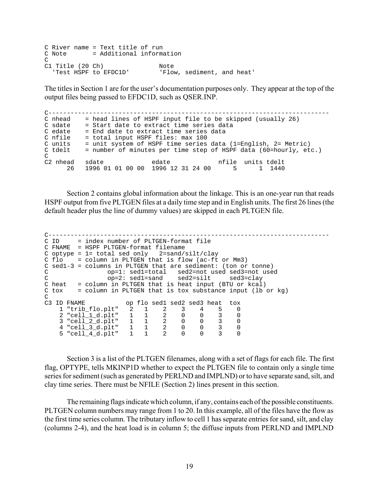C River name = Text title of run C Note = Additional information C<br>C1 Title (20 Ch) C1 Title (20 Ch) Note Note 'Test HSPF to EFDC1D' 'Flow, sediment, and heat'

The titles in Section 1 are for the user's documentation purposes only. They appear at the top of the output files being passed to EFDC1D, such as QSER.INP.

C----------------------------------------------------------------------------C nhead  $=$  head lines of HSPF input file to be skipped (usually 26) C sdate = Start date to extract time series data<br>
C edate = End date to extract time series data<br>
C nfile = total input HSPF files: max 100<br>
C units = unit system of HSPF time series data (1=English, 2= Metric)<br>
C tdelt = C<br>C2 nhead sdate C2 nhead sdate edate nfile units tdelt 26 1996 01 01 00 00 1996 12 31 24 00 5 1 1440

Section 2 contains global information about the linkage. This is an one-year run that reads HSPF output from five PLTGEN files at a daily time step and in English units. The first 26 lines (the default header plus the line of dummy values) are skipped in each PLTGEN file.

```
C----------------------------------------------------------------------------
C ID = index number of PLTGEN-format file

C FNAME = HSPF PLTGEN-format filename

C optype = 1= total sed only 2=sand/silt/clay

C flo = column in PLTGEN that is flow (ac-ft or Mm3)
C sed1-3 = columns in PLTGEN that are sediment: (ton or tonne)

C op=1: sed1=total sed2=not used sed3=not used

C op=2: sed1=sand sed2=silt sed3=clay

C heat = column in PLTGEN that is heat input (BTU or kcal)
C tox = column in PLTGEN that is tox substance input (lb or kg)
C<br>C3 ID FNAME
C3 ID FNAME op flo sed1 sed2 sed3 heat tox
   1 "trib_flo.plt" 2 1 2 3 4 5 0
   2 "cell_1_d.plt" 1 1 2 0 0 3 0
   3 "cell_2_d.plt" 1 1 2 0 0 3 0
   4 "cell_3_d.plt" 1 1 2 0 0 3 0
   5 "cell_4_d.plt" 1 1 2 0 0 3 0
```
Section 3 is a list of the PLTGEN filenames, along with a set of flags for each file. The first flag, OPTYPE, tells MKINP1D whether to expect the PLTGEN file to contain only a single time series for sediment (such as generated by PERLND and IMPLND) or to have separate sand, silt, and clay time series. There must be NFILE (Section 2) lines present in this section.

The remaining flags indicate which column, if any, contains each of the possible constituents. PLTGEN column numbers may range from 1 to 20. In this example, all of the files have the flow as the first time series column. The tributary inflow to cell 1 has separate entries for sand, silt, and clay (columns 2-4), and the heat load is in column 5; the diffuse inputs from PERLND and IMPLND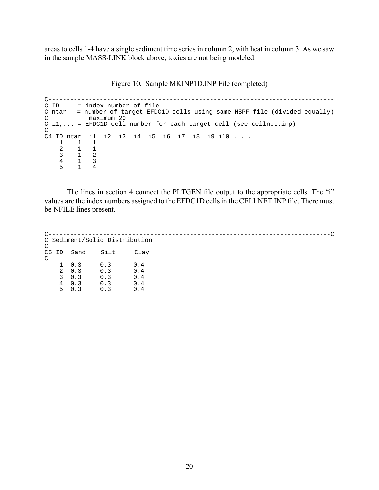areas to cells 1-4 have a single sediment time series in column 2, with heat in column 3. As we saw in the sample MASS-LINK block above, toxics are not being modeled.

|  |  | Figure 10. Sample MKINP1D.INP File (completed) |
|--|--|------------------------------------------------|
|  |  |                                                |

 $\mathcal{C}$ C------------------------------------------------------------------------------C ID = index number of file C ntar = number of target EFDC1D cells using same HSPF file (divided equally) maximum 20 C i1,... = EFDC1D cell number for each target cell (see cellnet.inp)  $\mathsf C$ C4 ID ntar i1 i2 i3 i4 i5 i6 i7 i8 i9 i10 . . .  $\begin{array}{cc} 1 & 1 \\ 2 & 1 \end{array}$  $\begin{array}{ccc} 2 & \hspace{1.5mm} 1 & \hspace{1.5mm} 1 \\ 3 & \hspace{1.5mm} 1 & \hspace{1.5mm} 2 \end{array}$  $\begin{array}{ccc} 3 & \hspace{1.5mm} 1 & \hspace{1.5mm} 2 \\ 4 & \hspace{1.5mm} 1 & \hspace{1.5mm} 3 \end{array}$  $\begin{array}{ccc} 4 & 1 & 3 \\ 5 & 1 & 4 \end{array}$ 5 1 4

The lines in section 4 connect the PLTGEN file output to the appropriate cells. The "i" values are the index numbers assigned to the EFDC1D cells in the CELLNET.INP file. There must be NFILE lines present.

| C                   |              |            | C Sediment/Solid Distribution |      |  |
|---------------------|--------------|------------|-------------------------------|------|--|
| C <sub>5</sub><br>C | ID           | Sand       | Silt                          | Clay |  |
|                     | $\mathbf{1}$ | 0.3        | 0.3                           | 0.4  |  |
|                     |              | $2 \t 0.3$ | 0.3                           | 0.4  |  |
|                     | $\mathbf{3}$ | 0.3        | 0.3                           | 0.4  |  |
|                     | 4            | 0.3        | 0.3                           | 0.4  |  |
|                     | 5.           | 0.3        | 0.3                           | 0.4  |  |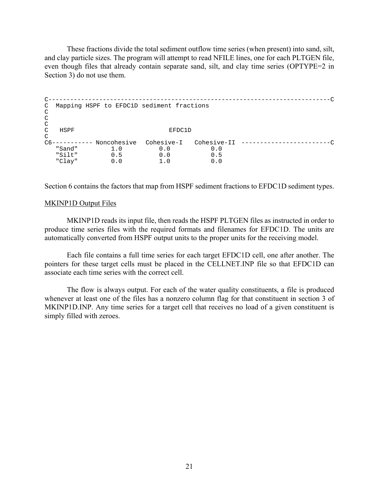These fractions divide the total sediment outflow time series (when present) into sand, silt, and clay particle sizes. The program will attempt to read NFILE lines, one for each PLTGEN file, even though files that already contain separate sand, silt, and clay time series (OPTYPE=2 in Section 3) do not use them.

```
\mathsf{C}^-C------------------------------------------------------------------------------C
  Mapping HSPF to EFDC1D sediment fractions 
C 
\mathcal{C}\rm\frac{C}{C}HSPF EFDC1D
C 
C6----------- Noncohesive Cohesive-I Cohesive-II --------------------------------<br>"Sand" 1.0 0.0 0.0 ...
   "Sand" 1.0 0.0 0.0
   "Silt" 0.5 0.0 0.5
   "Clay" 0.0 1.0 0.0
```
Section 6 contains the factors that map from HSPF sediment fractions to EFDC1D sediment types.

#### MKINP1D Output Files

MKINP1D reads its input file, then reads the HSPF PLTGEN files as instructed in order to produce time series files with the required formats and filenames for EFDC1D. The units are automatically converted from HSPF output units to the proper units for the receiving model.

Each file contains a full time series for each target EFDC1D cell, one after another. The pointers for these target cells must be placed in the CELLNET.INP file so that EFDC1D can associate each time series with the correct cell.

The flow is always output. For each of the water quality constituents, a file is produced whenever at least one of the files has a nonzero column flag for that constituent in section 3 of MKINP1D.INP. Any time series for a target cell that receives no load of a given constituent is simply filled with zeroes.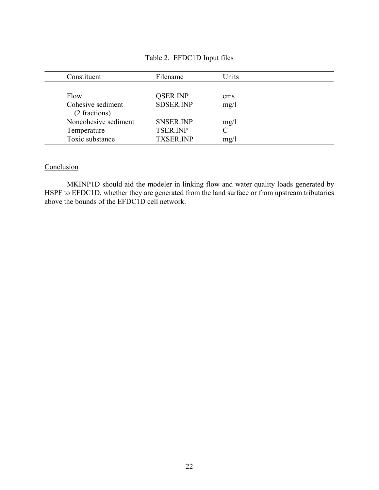## Table 2. EFDC1D Input files

| Constituent                        | Filename         | Units |  |
|------------------------------------|------------------|-------|--|
|                                    |                  |       |  |
| Flow                               | <b>OSER.INP</b>  | cms   |  |
| Cohesive sediment<br>(2 fractions) | <b>SDSER.INP</b> | mg/1  |  |
| Noncohesive sediment               | <b>SNSER.INP</b> | mg/l  |  |
| Temperature                        | <b>TSER INP</b>  |       |  |
| Toxic substance                    | <b>TXSER.INP</b> | mg/1  |  |

# **Conclusion**

MKINP1D should aid the modeler in linking flow and water quality loads generated by HSPF to EFDC1D, whether they are generated from the land surface or from upstream tributaries above the bounds of the EFDC1D cell network.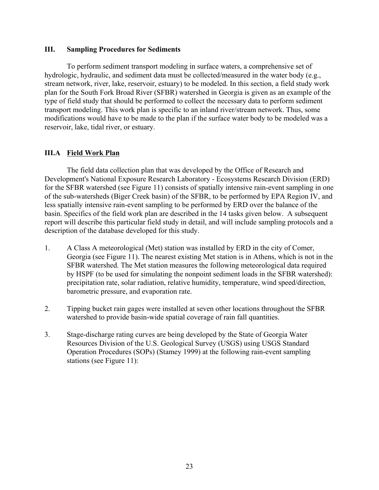#### **III. Sampling Procedures for Sediments**

To perform sediment transport modeling in surface waters, a comprehensive set of hydrologic, hydraulic, and sediment data must be collected/measured in the water body (e.g., stream network, river, lake, reservoir, estuary) to be modeled. In this section, a field study work plan for the South Fork Broad River (SFBR) watershed in Georgia is given as an example of the type of field study that should be performed to collect the necessary data to perform sediment transport modeling. This work plan is specific to an inland river/stream network. Thus, some modifications would have to be made to the plan if the surface water body to be modeled was a reservoir, lake, tidal river, or estuary.

### **III.A Field Work Plan**

The field data collection plan that was developed by the Office of Research and Development's National Exposure Research Laboratory - Ecosystems Research Division (ERD) for the SFBR watershed (see Figure 11) consists of spatially intensive rain-event sampling in one of the sub-watersheds (Biger Creek basin) of the SFBR, to be performed by EPA Region IV, and less spatially intensive rain-event sampling to be performed by ERD over the balance of the basin. Specifics of the field work plan are described in the 14 tasks given below. A subsequent report will describe this particular field study in detail, and will include sampling protocols and a description of the database developed for this study.

- 1. A Class A meteorological (Met) station was installed by ERD in the city of Comer, Georgia (see Figure 11). The nearest existing Met station is in Athens, which is not in the SFBR watershed. The Met station measures the following meteorological data required by HSPF (to be used for simulating the nonpoint sediment loads in the SFBR watershed): precipitation rate, solar radiation, relative humidity, temperature, wind speed/direction, barometric pressure, and evaporation rate.
- 2. Tipping bucket rain gages were installed at seven other locations throughout the SFBR watershed to provide basin-wide spatial coverage of rain fall quantities.
- 3. Stage-discharge rating curves are being developed by the State of Georgia Water Resources Division of the U.S. Geological Survey (USGS) using USGS Standard Operation Procedures (SOPs) (Stamey 1999) at the following rain-event sampling stations (see Figure 11):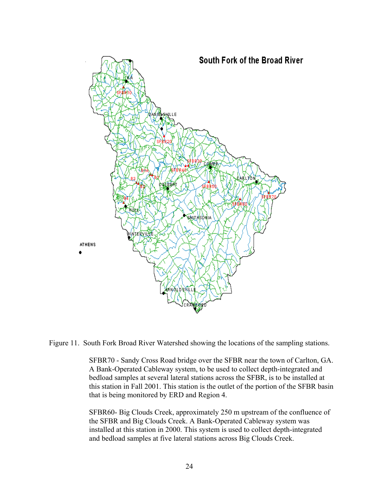

Figure 11. South Fork Broad River Watershed showing the locations of the sampling stations.

SFBR70 - Sandy Cross Road bridge over the SFBR near the town of Carlton, GA. A Bank-Operated Cableway system, to be used to collect depth-integrated and bedload samples at several lateral stations across the SFBR, is to be installed at this station in Fall 2001. This station is the outlet of the portion of the SFBR basin that is being monitored by ERD and Region 4.

SFBR60- Big Clouds Creek, approximately 250 m upstream of the confluence of the SFBR and Big Clouds Creek. A Bank-Operated Cableway system was installed at this station in 2000. This system is used to collect depth-integrated and bedload samples at five lateral stations across Big Clouds Creek.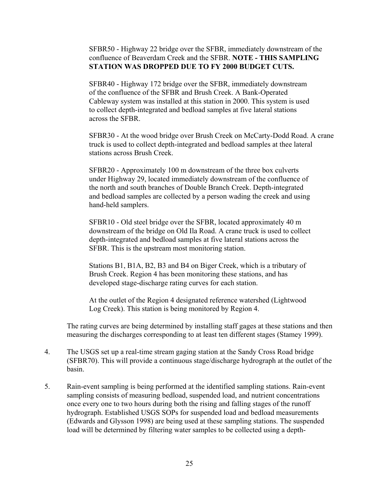SFBR50 - Highway 22 bridge over the SFBR, immediately downstream of the confluence of Beaverdam Creek and the SFBR. **NOTE - THIS SAMPLING STATION WAS DROPPED DUE TO FY 2000 BUDGET CUTS.** 

SFBR40 - Highway 172 bridge over the SFBR, immediately downstream of the confluence of the SFBR and Brush Creek. A Bank-Operated Cableway system was installed at this station in 2000. This system is used to collect depth-integrated and bedload samples at five lateral stations across the SFBR.

SFBR30 - At the wood bridge over Brush Creek on McCarty-Dodd Road. A crane truck is used to collect depth-integrated and bedload samples at thee lateral stations across Brush Creek.

SFBR20 - Approximately 100 m downstream of the three box culverts under Highway 29, located immediately downstream of the confluence of the north and south branches of Double Branch Creek. Depth-integrated and bedload samples are collected by a person wading the creek and using hand-held samplers.

SFBR10 - Old steel bridge over the SFBR, located approximately 40 m downstream of the bridge on Old Ila Road. A crane truck is used to collect depth-integrated and bedload samples at five lateral stations across the SFBR. This is the upstream most monitoring station.

Stations B1, B1A, B2, B3 and B4 on Biger Creek, which is a tributary of Brush Creek. Region 4 has been monitoring these stations, and has developed stage-discharge rating curves for each station.

At the outlet of the Region 4 designated reference watershed (Lightwood Log Creek). This station is being monitored by Region 4.

The rating curves are being determined by installing staff gages at these stations and then measuring the discharges corresponding to at least ten different stages (Stamey 1999).

- 4. The USGS set up a real-time stream gaging station at the Sandy Cross Road bridge (SFBR70). This will provide a continuous stage/discharge hydrograph at the outlet of the basin.
- 5. Rain-event sampling is being performed at the identified sampling stations. Rain-event sampling consists of measuring bedload, suspended load, and nutrient concentrations once every one to two hours during both the rising and falling stages of the runoff hydrograph. Established USGS SOPs for suspended load and bedload measurements (Edwards and Glysson 1998) are being used at these sampling stations. The suspended load will be determined by filtering water samples to be collected using a depth-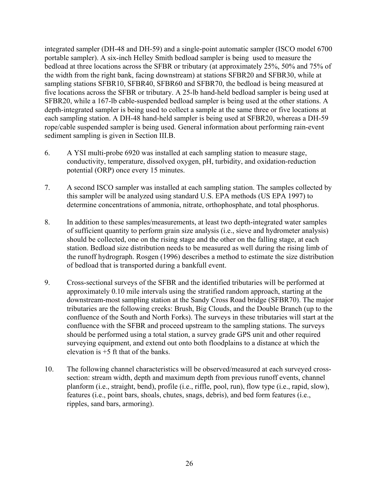integrated sampler (DH-48 and DH-59) and a single-point automatic sampler (ISCO model 6700 portable sampler). A six-inch Helley Smith bedload sampler is being used to measure the bedload at three locations across the SFBR or tributary (at approximately 25%, 50% and 75% of the width from the right bank, facing downstream) at stations SFBR20 and SFBR30, while at sampling stations SFBR10, SFBR40, SFBR60 and SFBR70, the bedload is being measured at five locations across the SFBR or tributary. A 25-lb hand-held bedload sampler is being used at SFBR20, while a 167-lb cable-suspended bedload sampler is being used at the other stations. A depth-integrated sampler is being used to collect a sample at the same three or five locations at each sampling station. A DH-48 hand-held sampler is being used at SFBR20, whereas a DH-59 rope/cable suspended sampler is being used. General information about performing rain-event sediment sampling is given in Section III.B.

- 6. A YSI multi-probe 6920 was installed at each sampling station to measure stage, conductivity, temperature, dissolved oxygen, pH, turbidity, and oxidation-reduction potential (ORP) once every 15 minutes.
- 7. A second ISCO sampler was installed at each sampling station. The samples collected by this sampler will be analyzed using standard U.S. EPA methods (US EPA 1997) to determine concentrations of ammonia, nitrate, orthophosphate, and total phosphorus.
- 8. In addition to these samples/measurements, at least two depth-integrated water samples of sufficient quantity to perform grain size analysis (i.e., sieve and hydrometer analysis) should be collected, one on the rising stage and the other on the falling stage, at each station. Bedload size distribution needs to be measured as well during the rising limb of the runoff hydrograph. Rosgen (1996) describes a method to estimate the size distribution of bedload that is transported during a bankfull event.
- 9. Cross-sectional surveys of the SFBR and the identified tributaries will be performed at approximately 0.10 mile intervals using the stratified random approach, starting at the downstream-most sampling station at the Sandy Cross Road bridge (SFBR70). The major tributaries are the following creeks: Brush, Big Clouds, and the Double Branch (up to the confluence of the South and North Forks). The surveys in these tributaries will start at the confluence with the SFBR and proceed upstream to the sampling stations. The surveys should be performed using a total station, a survey grade GPS unit and other required surveying equipment, and extend out onto both floodplains to a distance at which the elevation is +5 ft that of the banks.
- 10. The following channel characteristics will be observed/measured at each surveyed crosssection: stream width, depth and maximum depth from previous runoff events, channel planform (i.e., straight, bend), profile (i.e., riffle, pool, run), flow type (i.e., rapid, slow), features (i.e., point bars, shoals, chutes, snags, debris), and bed form features (i.e., ripples, sand bars, armoring).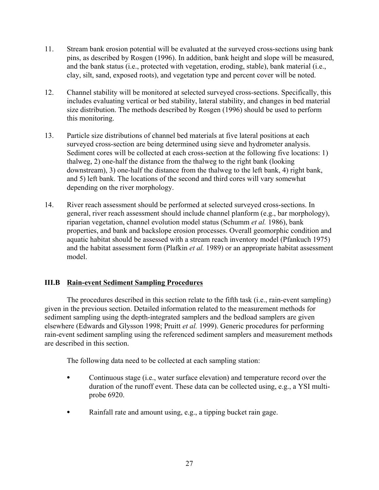- 11. Stream bank erosion potential will be evaluated at the surveyed cross-sections using bank pins, as described by Rosgen (1996). In addition, bank height and slope will be measured, and the bank status (i.e., protected with vegetation, eroding, stable), bank material (i.e., clay, silt, sand, exposed roots), and vegetation type and percent cover will be noted.
- 12. Channel stability will be monitored at selected surveyed cross-sections. Specifically, this includes evaluating vertical or bed stability, lateral stability, and changes in bed material size distribution. The methods described by Rosgen (1996) should be used to perform this monitoring.
- 13. Particle size distributions of channel bed materials at five lateral positions at each surveyed cross-section are being determined using sieve and hydrometer analysis. Sediment cores will be collected at each cross-section at the following five locations: 1) thalweg, 2) one-half the distance from the thalweg to the right bank (looking downstream), 3) one-half the distance from the thalweg to the left bank, 4) right bank, and 5) left bank. The locations of the second and third cores will vary somewhat depending on the river morphology.
- 14. River reach assessment should be performed at selected surveyed cross-sections. In general, river reach assessment should include channel planform (e.g., bar morphology), riparian vegetation, channel evolution model status (Schumm *et al.* 1986), bank properties, and bank and backslope erosion processes. Overall geomorphic condition and aquatic habitat should be assessed with a stream reach inventory model (Pfankuch 1975) and the habitat assessment form (Plafkin *et al.* 1989) or an appropriate habitat assessment model.

### **III.B Rain-event Sediment Sampling Procedures**

The procedures described in this section relate to the fifth task (i.e., rain-event sampling) given in the previous section. Detailed information related to the measurement methods for sediment sampling using the depth-integrated samplers and the bedload samplers are given elsewhere (Edwards and Glysson 1998; Pruitt *et al.* 1999). Generic procedures for performing rain-event sediment sampling using the referenced sediment samplers and measurement methods are described in this section.

The following data need to be collected at each sampling station:

- Continuous stage (i.e., water surface elevation) and temperature record over the duration of the runoff event. These data can be collected using, e.g., a YSI multiprobe 6920.
- $\bullet$  Rainfall rate and amount using, e.g., a tipping bucket rain gage.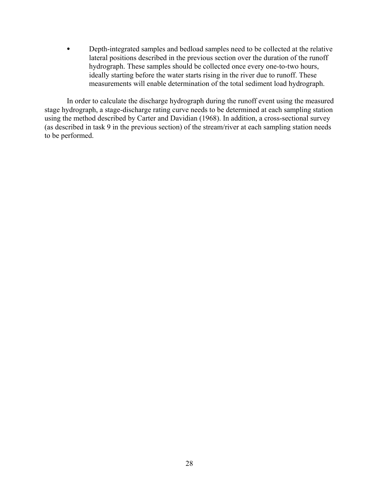Depth-integrated samples and bedload samples need to be collected at the relative lateral positions described in the previous section over the duration of the runoff hydrograph. These samples should be collected once every one-to-two hours, ideally starting before the water starts rising in the river due to runoff. These measurements will enable determination of the total sediment load hydrograph.

In order to calculate the discharge hydrograph during the runoff event using the measured stage hydrograph, a stage-discharge rating curve needs to be determined at each sampling station using the method described by Carter and Davidian (1968). In addition, a cross-sectional survey (as described in task 9 in the previous section) of the stream/river at each sampling station needs to be performed.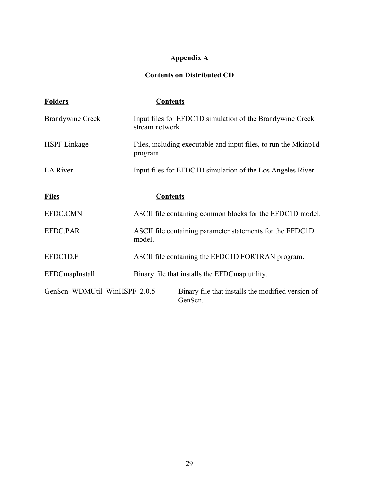# **Appendix A**

# **Contents on Distributed CD**

| <b>Folders</b>               | <b>Contents</b>                                                             |
|------------------------------|-----------------------------------------------------------------------------|
| <b>Brandywine Creek</b>      | Input files for EFDC1D simulation of the Brandywine Creek<br>stream network |
| <b>HSPF</b> Linkage          | Files, including executable and input files, to run the Mkinp1d<br>program  |
| <b>LA River</b>              | Input files for EFDC1D simulation of the Los Angeles River                  |
| <b>Files</b>                 | <b>Contents</b>                                                             |
| EFDC.CMN                     | ASCII file containing common blocks for the EFDC1D model.                   |
| EFDC.PAR                     | ASCII file containing parameter statements for the EFDC1D<br>model.         |
| EFDC1D.F                     | ASCII file containing the EFDC1D FORTRAN program.                           |
| <b>EFDCmapInstall</b>        | Binary file that installs the EFDC map utility.                             |
| GenScn WDMUtil_WinHSPF_2.0.5 | Binary file that installs the modified version of<br>GenScn.                |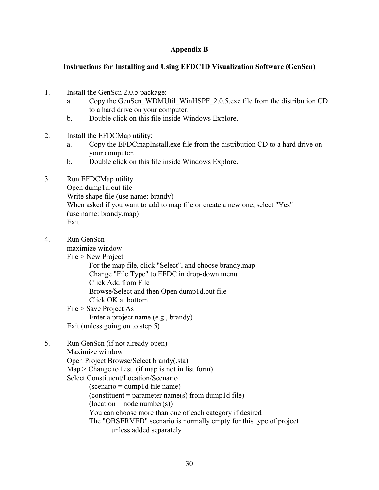### **Appendix B**

#### **Instructions for Installing and Using EFDC1D Visualization Software (GenScn)**

- 1. Install the GenScn 2.0.5 package:
	- a. Copy the GenScn\_WDMUtil\_WinHSPF\_2.0.5.exe file from the distribution CD to a hard drive on your computer.
	- b. Double click on this file inside Windows Explore.
- 2. Install the EFDCMap utility:
	- a. Copy the EFDCmapInstall.exe file from the distribution CD to a hard drive on your computer.
	- b. Double click on this file inside Windows Explore.
- 3. Run EFDCMap utility Open dump1d.out file Write shape file (use name: brandy) When asked if you want to add to map file or create a new one, select "Yes" (use name: brandy.map) Exit
- 4. Run GenScn

maximize window

File > New Project

For the map file, click "Select", and choose brandy.map Change "File Type" to EFDC in drop-down menu Click Add from File Browse/Select and then Open dump1d.out file Click OK at bottom

File > Save Project As

Enter a project name (e.g., brandy)

Exit (unless going on to step 5)

5. Run GenScn (if not already open)

Maximize window

Open Project Browse/Select brandy(.sta)

 $Map > Change to List (if map is not in list form)$ 

Select Constituent/Location/Scenario

(scenario = dump1d file name)

 $(constituent = parameter name(s) from dump1d file)$ 

 $(location = node number(s))$ 

You can choose more than one of each category if desired

The "OBSERVED" scenario is normally empty for this type of project unless added separately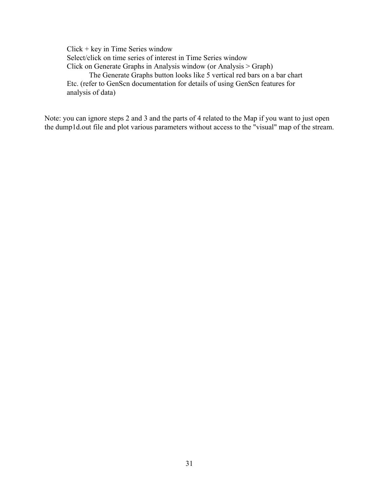Click + key in Time Series window Select/click on time series of interest in Time Series window Click on Generate Graphs in Analysis window (or Analysis > Graph) The Generate Graphs button looks like 5 vertical red bars on a bar chart Etc. (refer to GenScn documentation for details of using GenScn features for analysis of data)

Note: you can ignore steps 2 and 3 and the parts of 4 related to the Map if you want to just open the dump1d.out file and plot various parameters without access to the "visual" map of the stream.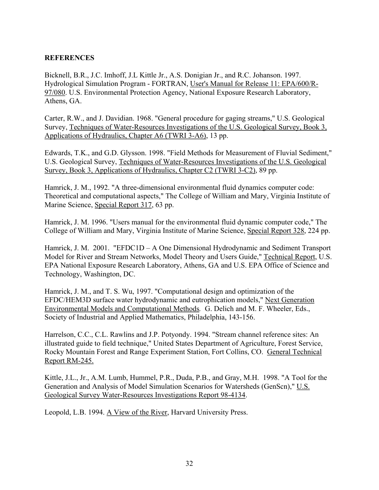### **REFERENCES**

Bicknell, B.R., J.C. Imhoff, J.L Kittle Jr., A.S. Donigian Jr., and R.C. Johanson. 1997. Hydrological Simulation Program - FORTRAN, User's Manual for Release 11: EPA/600/R-97/080. U.S. Environmental Protection Agency, National Exposure Research Laboratory, Athens, GA.

Carter, R.W., and J. Davidian. 1968. "General procedure for gaging streams," U.S. Geological Survey, Techniques of Water-Resources Investigations of the U.S. Geological Survey, Book 3, Applications of Hydraulics, Chapter A6 (TWRI 3-A6), 13 pp.

Edwards, T.K., and G.D. Glysson. 1998. "Field Methods for Measurement of Fluvial Sediment," U.S. Geological Survey, Techniques of Water-Resources Investigations of the U.S. Geological Survey, Book 3, Applications of Hydraulics, Chapter C2 (TWRI 3-C2), 89 pp.

Hamrick, J. M., 1992. "A three-dimensional environmental fluid dynamics computer code: Theoretical and computational aspects," The College of William and Mary, Virginia Institute of Marine Science, Special Report 317, 63 pp.

Hamrick, J. M. 1996. "Users manual for the environmental fluid dynamic computer code," The College of William and Mary, Virginia Institute of Marine Science, Special Report 328, 224 pp.

Hamrick, J. M. 2001. "EFDC1D – A One Dimensional Hydrodynamic and Sediment Transport Model for River and Stream Networks, Model Theory and Users Guide," Technical Report, U.S. EPA National Exposure Research Laboratory, Athens, GA and U.S. EPA Office of Science and Technology, Washington, DC.

Hamrick, J. M., and T. S. Wu, 1997. "Computational design and optimization of the EFDC/HEM3D surface water hydrodynamic and eutrophication models," Next Generation Environmental Models and Computational Methods*.* G. Delich and M. F. Wheeler, Eds., Society of Industrial and Applied Mathematics, Philadelphia, 143-156.

Harrelson, C.C., C.L. Rawlins and J.P. Potyondy. 1994. "Stream channel reference sites: An illustrated guide to field technique," United States Department of Agriculture, Forest Service, Rocky Mountain Forest and Range Experiment Station, Fort Collins, CO. General Technical Report RM-245.

Kittle, J.L., Jr., A.M. Lumb, Hummel, P.R., Duda, P.B., and Gray, M.H. 1998. "A Tool for the Generation and Analysis of Model Simulation Scenarios for Watersheds (GenScn)," U.S. Geological Survey Water-Resources Investigations Report 98-4134.

Leopold, L.B. 1994. A View of the River, Harvard University Press.